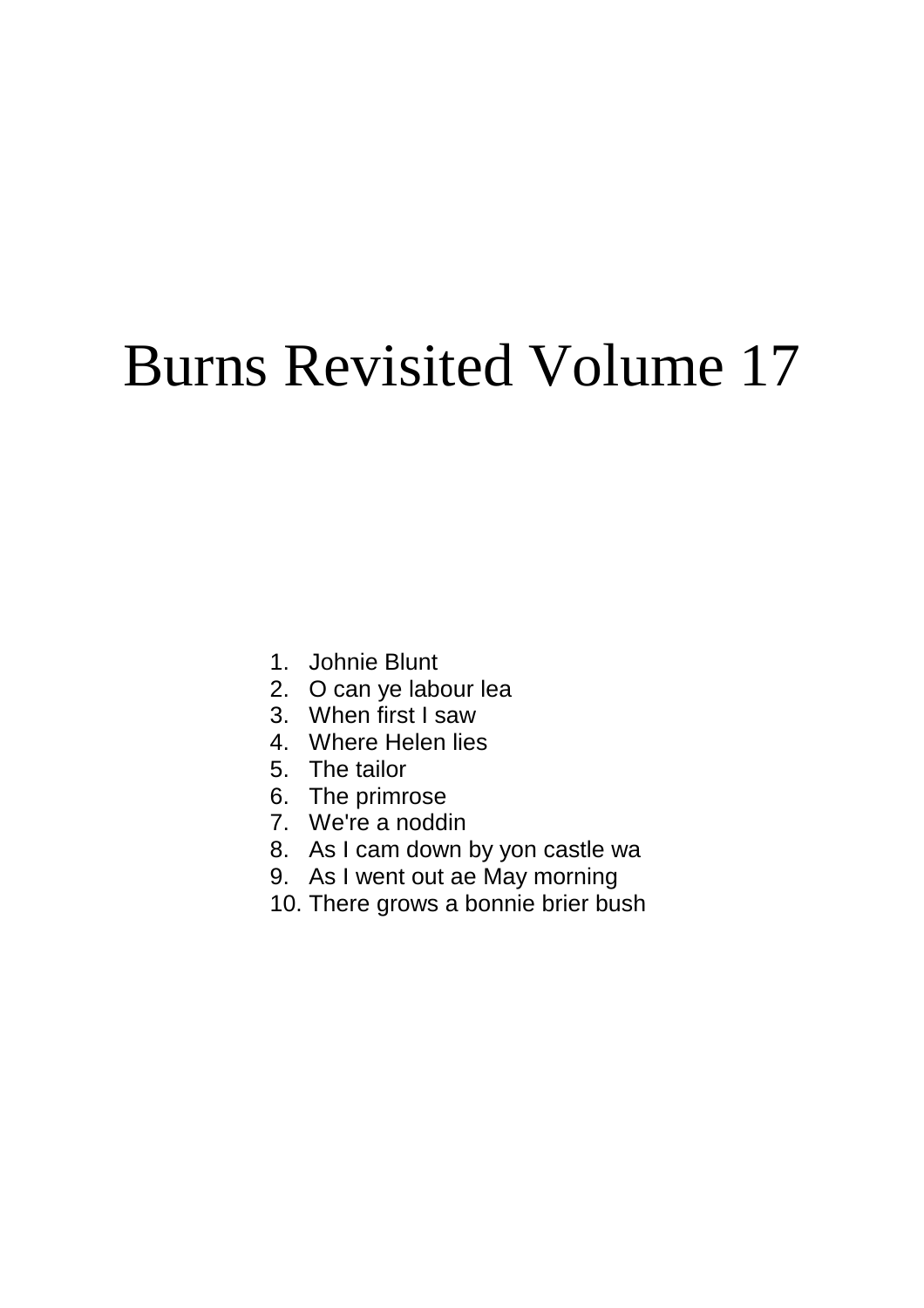# Burns Revisited Volume 17

- 1. Johnie Blunt
- 2. O can ye labour lea
- 3. When first I saw
- 4. Where Helen lies
- 5. The tailor
- 6. The primrose
- 7. We're a noddin
- 8. As I cam down by yon castle wa
- 9. As I went out ae May morning
- 10. There grows a bonnie brier bush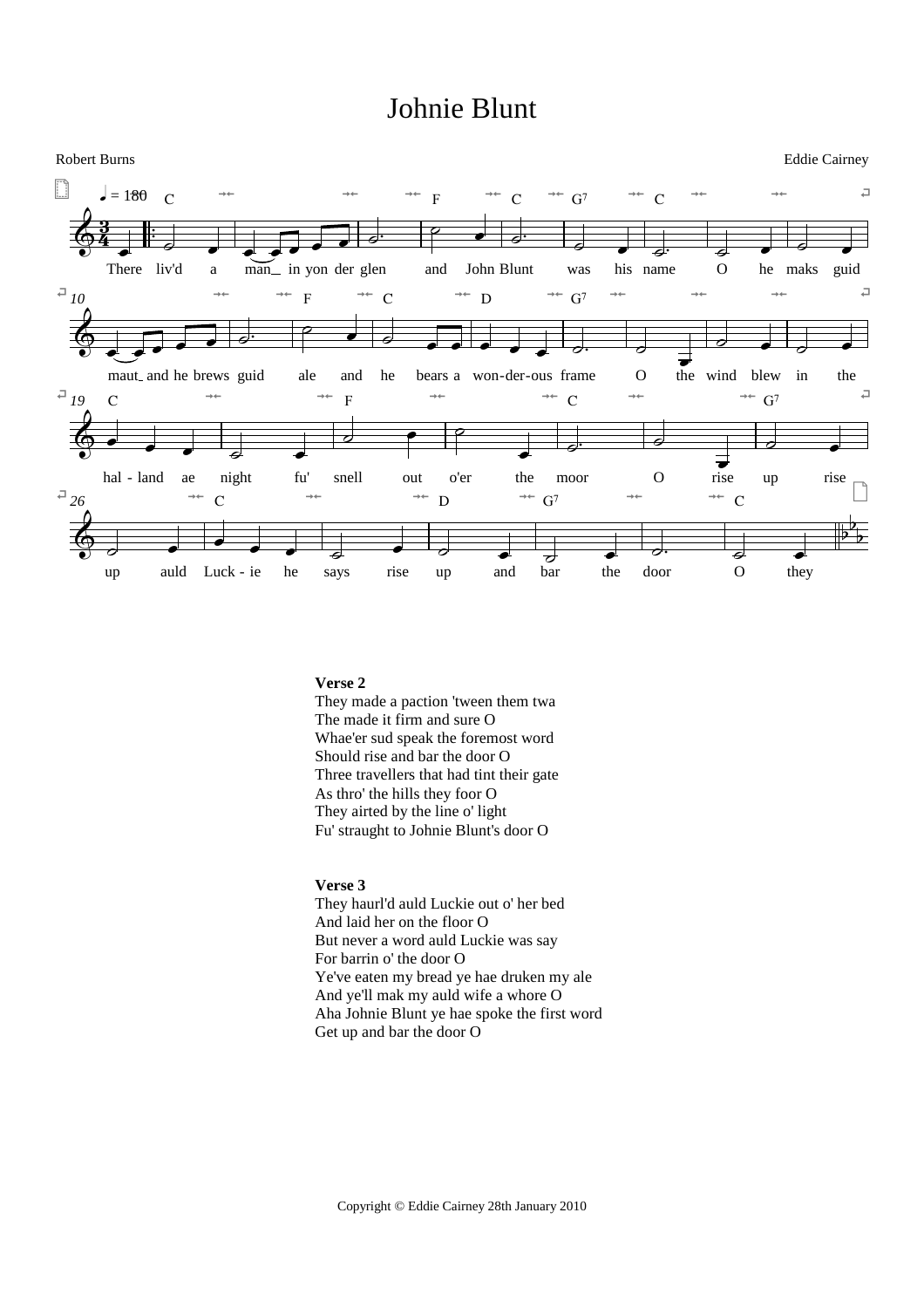# Johnie Blunt



# **Verse 2**

They made a paction 'tween them twa The made it firm and sure O Whae'er sud speak the foremost word Should rise and bar the door O Three travellers that had tint their gate As thro' the hills they foor O They airted by the line o' light Fu' straught to Johnie Blunt's door O

# **Verse 3**

They haurl'd auld Luckie out o' her bed And laid her on the floor O But never a word auld Luckie was say For barrin o' the door O Ye've eaten my bread ye hae druken my ale And ye'll mak my auld wife a whore O Aha Johnie Blunt ye hae spoke the first word Get up and bar the door O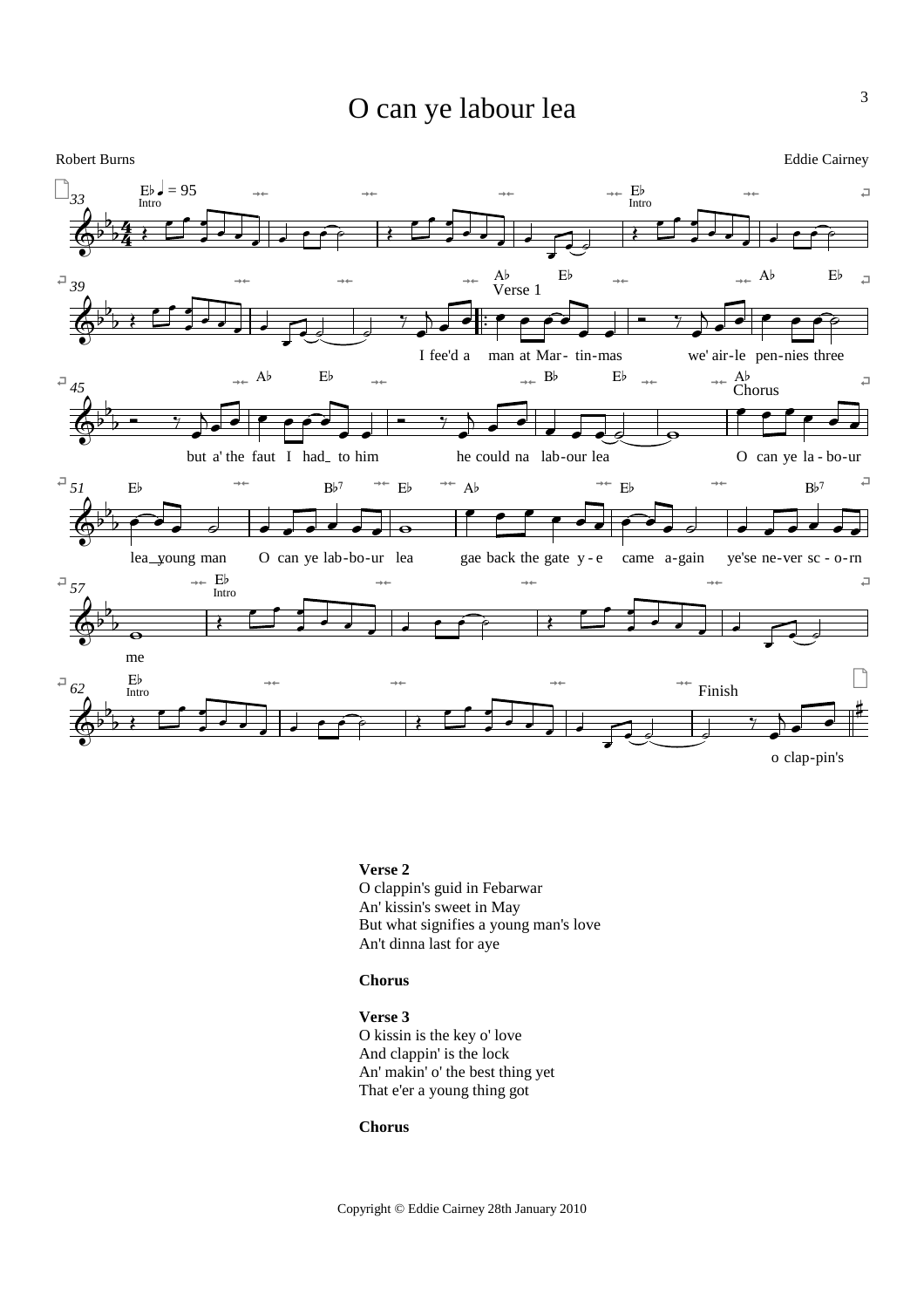# O can ye labour lea



# **Verse 2**

O clappin's guid in Febarwar An' kissin's sweet in May But what signifies a young man's love An't dinna last for aye

# **Chorus**

**Verse 3** O kissin is the key o' love And clappin' is the lock An' makin' o' the best thing yet That e'er a young thing got

# **Chorus**

Copyright © Eddie Cairney 28th January 2010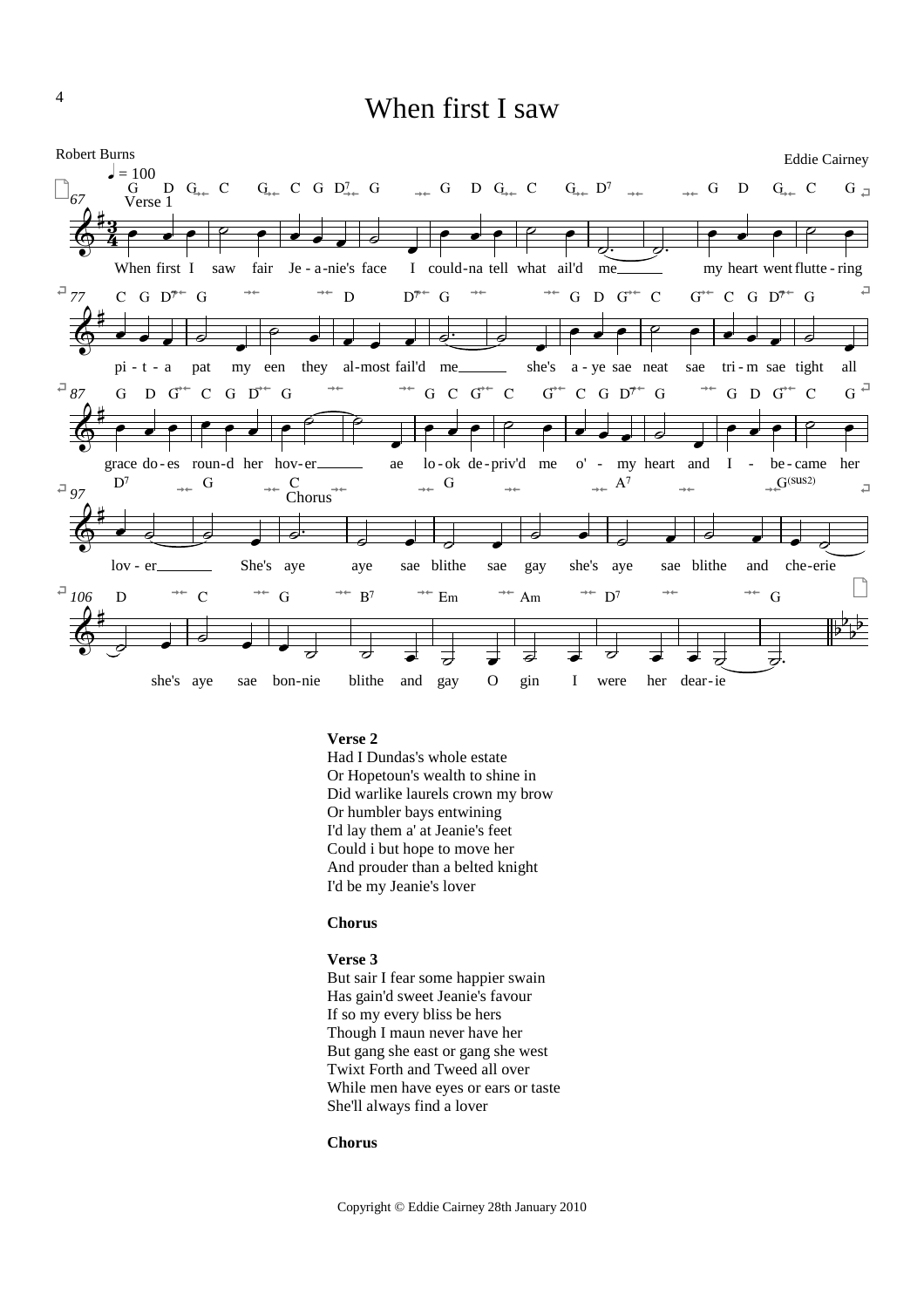# When first I saw



# **Verse 2**

Had I Dundas's whole estate Or Hopetoun's wealth to shine in Did warlike laurels crown my brow Or humbler bays entwining I'd lay them a' at Jeanie's feet Could i but hope to move her And prouder than a belted knight I'd be my Jeanie's lover

### **Chorus**

#### **Verse 3**

But sair I fear some happier swain Has gain'd sweet Jeanie's favour If so my every bliss be hers Though I maun never have her But gang she east or gang she west Twixt Forth and Tweed all over While men have eyes or ears or taste She'll always find a lover

# **Chorus**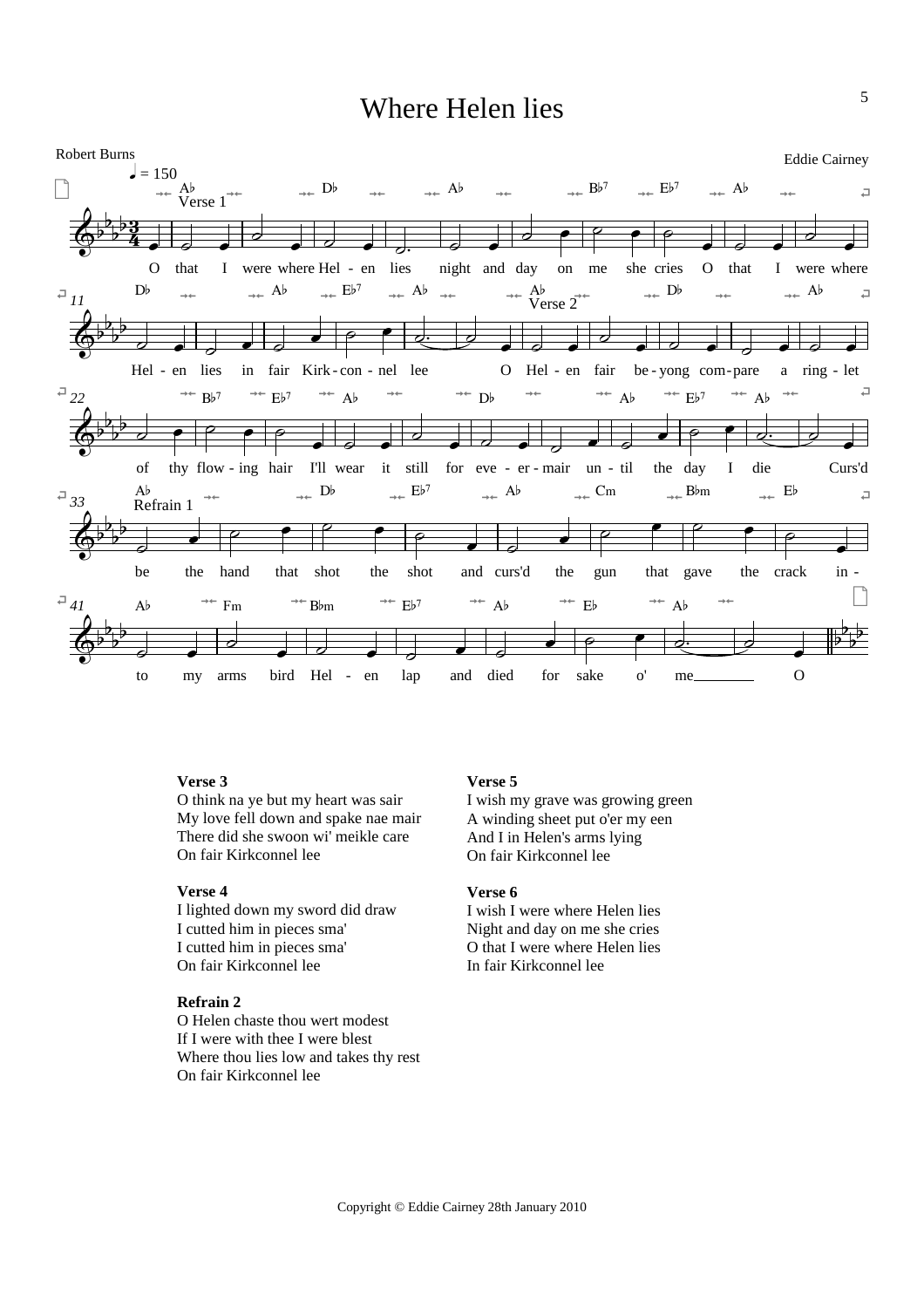# Where Helen lies



# **Verse 3**

O think na ye but my heart was sair My love fell down and spake nae mair There did she swoon wi' meikle care On fair Kirkconnel lee

# **Verse 4**

I lighted down my sword did draw I cutted him in pieces sma' I cutted him in pieces sma' On fair Kirkconnel lee

### **Refrain 2**

O Helen chaste thou wert modest If I were with thee I were blest Where thou lies low and takes thy rest On fair Kirkconnel lee

# **Verse 5**

I wish my grave was growing green A winding sheet put o'er my een And I in Helen's arms lying On fair Kirkconnel lee

# **Verse 6**

I wish I were where Helen lies Night and day on me she cries O that I were where Helen lies In fair Kirkconnel lee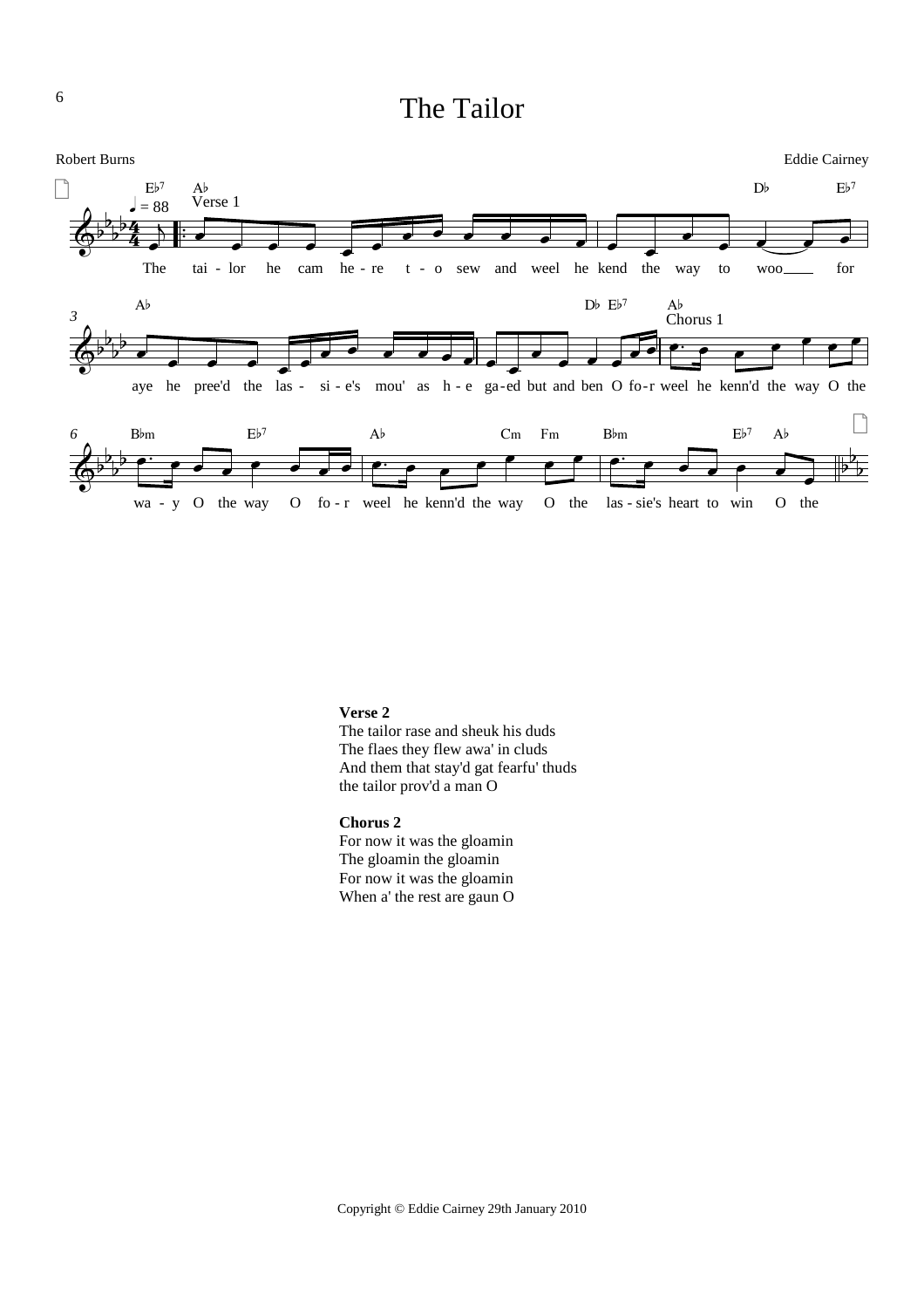# The Tailor



# **Verse 2**

The tailor rase and sheuk his duds The flaes they flew awa' in cluds And them that stay'd gat fearfu' thuds the tailor prov'd a man O

# **Chorus 2**

For now it was the gloamin The gloamin the gloamin For now it was the gloamin When a' the rest are gaun O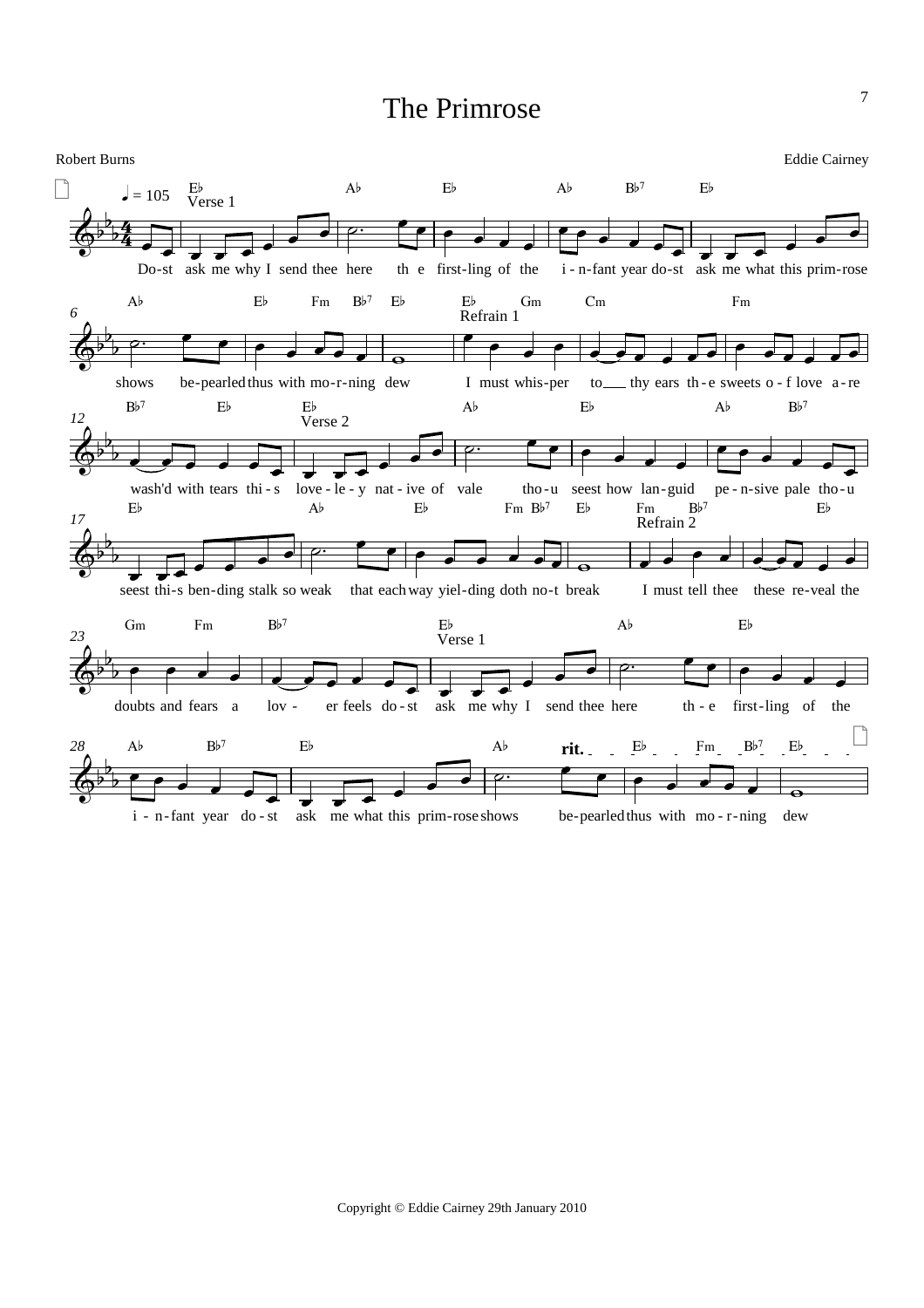# The Primrose

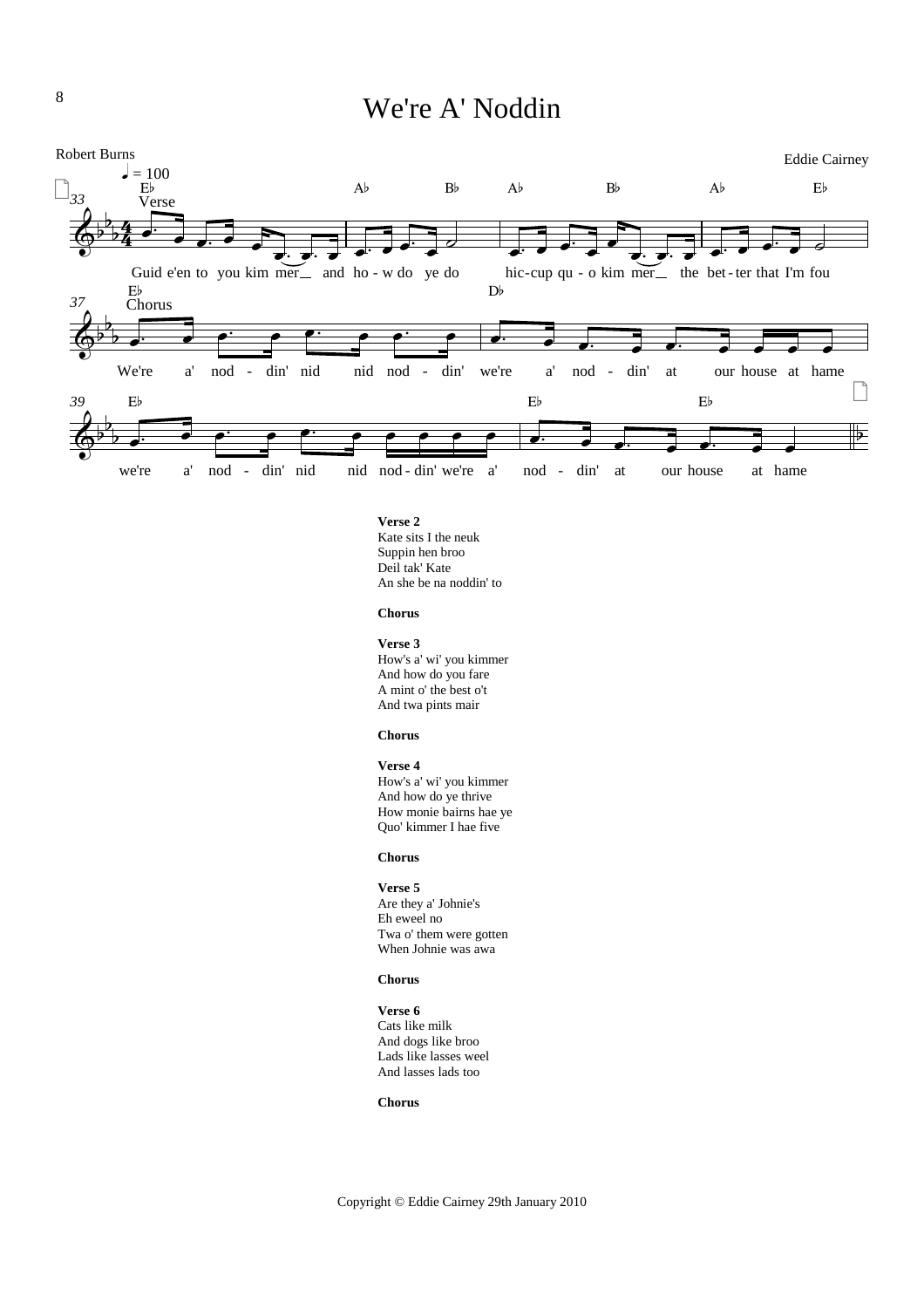# We're A' Noddin



**Verse 2** Kate sits I the neuk Suppin hen broo Deil tak' Kate An she be na noddin' to

#### **Chorus**

**Verse 3** How's a' wi' you kimmer And how do you fare A mint o' the best o't And twa pints mair

#### **Chorus**

**Verse 4** How's a' wi' you kimmer And how do ye thrive How monie bairns hae ye Quo' kimmer I hae five

#### **Chorus**

#### **Verse 5**

Are they a' Johnie's Eh eweel no Twa o' them were gotten When Johnie was awa

#### **Chorus**

**Verse 6** Cats like milk And dogs like broo Lads like lasses weel And lasses lads too

#### **Chorus**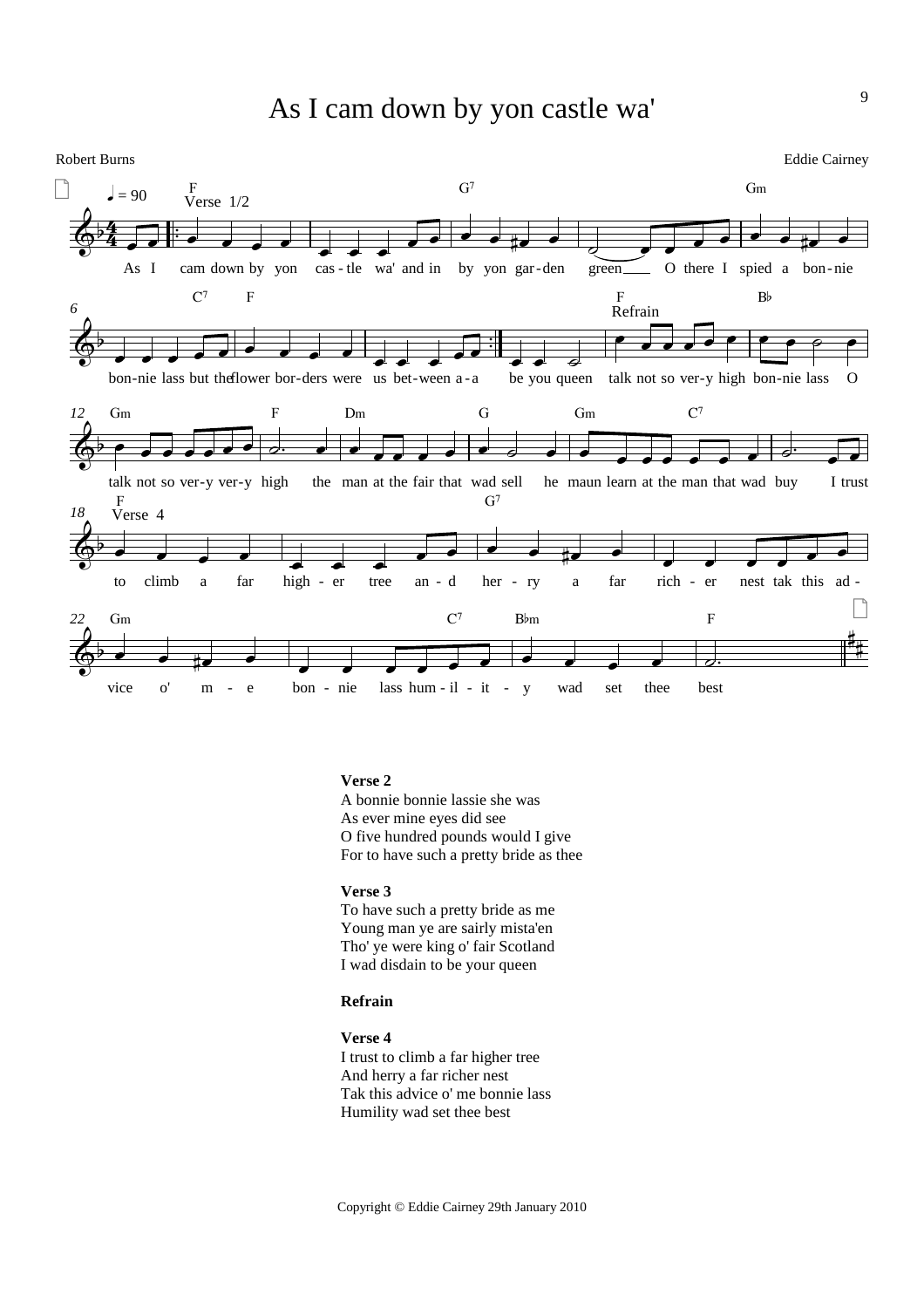# As I cam down by yon castle wa'



### **Verse 2**

A bonnie bonnie lassie she was As ever mine eyes did see O five hundred pounds would I give For to have such a pretty bride as thee

# **Verse 3**

To have such a pretty bride as me Young man ye are sairly mista'en Tho' ye were king o' fair Scotland I wad disdain to be your queen

# **Refrain**

**Verse 4**

I trust to climb a far higher tree And herry a far richer nest Tak this advice o' me bonnie lass Humility wad set thee best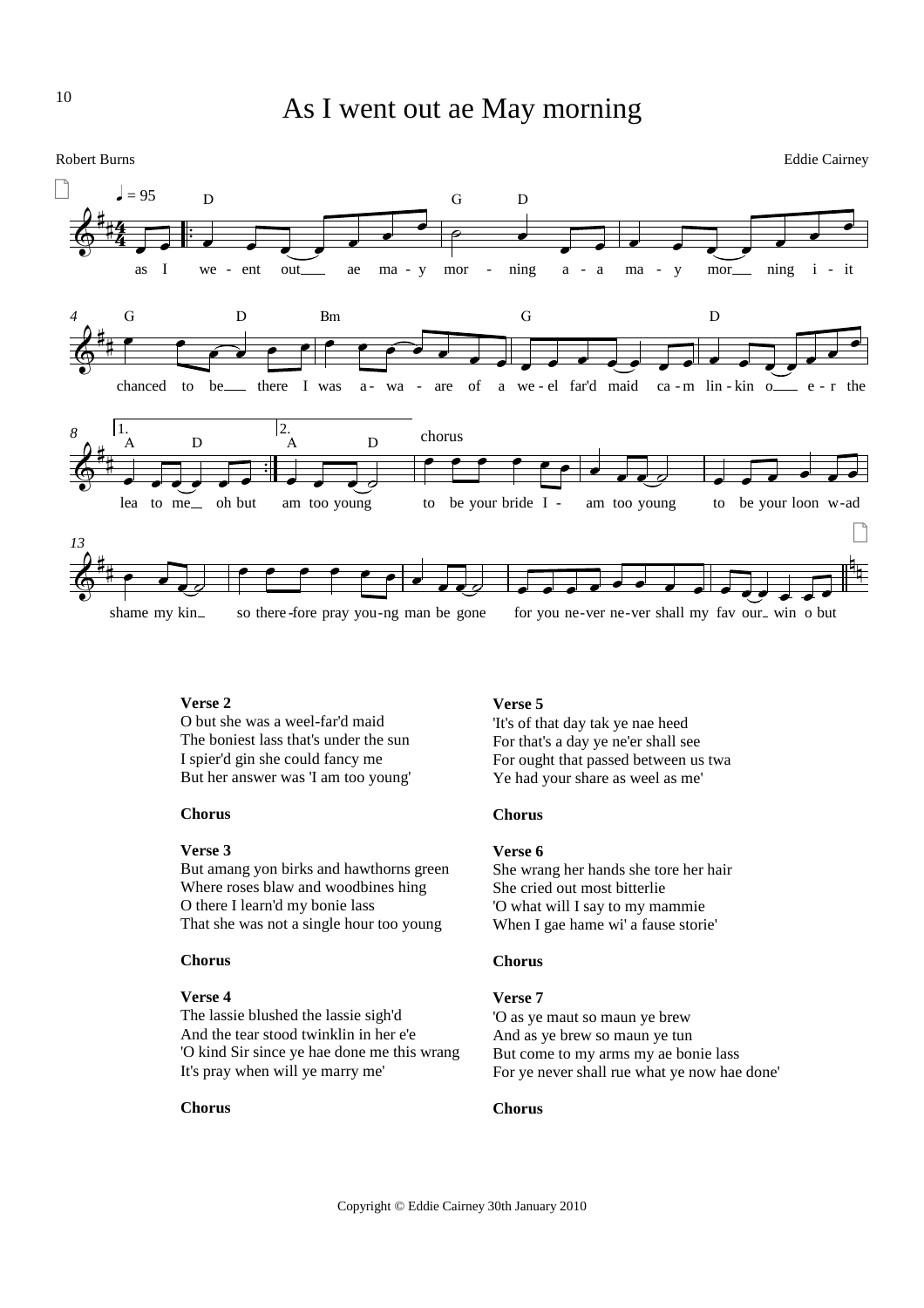

10



# **Verse 2**

O but she was a weel-far'd maid The boniest lass that's under the sun I spier'd gin she could fancy me But her answer was 'I am too young'

# **Chorus**

### **Verse 3**

But amang yon birks and hawthorns green Where roses blaw and woodbines hing O there I learn'd my bonie lass That she was not a single hour too young

### **Chorus**

#### **Verse 4**

The lassie blushed the lassie sigh'd And the tear stood twinklin in her e'e 'O kind Sir since ye hae done me this wrang It's pray when will ye marry me'

#### **Chorus**

# **Verse 5**

'It's of that day tak ye nae heed For that's a day ye ne'er shall see For ought that passed between us twa Ye had your share as weel as me'

# **Chorus**

# **Verse 6**

She wrang her hands she tore her hair She cried out most bitterlie 'O what will I say to my mammie When I gae hame wi' a fause storie'

# **Chorus**

### **Verse 7**

'O as ye maut so maun ye brew And as ye brew so maun ye tun But come to my arms my ae bonie lass For ye never shall rue what ye now hae done'

# **Chorus**